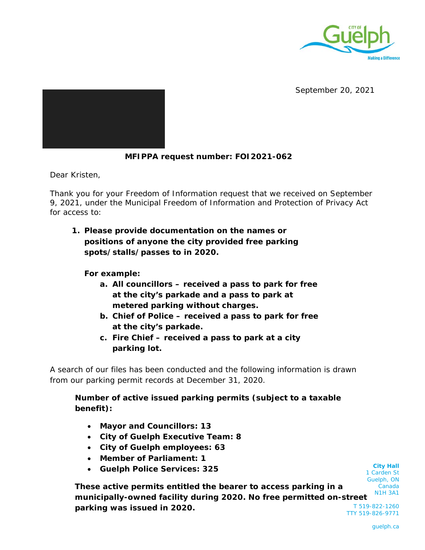

September 20, 2021

## **MFIPPA request number: FOI2021-062**

Dear Kristen,

Thank you for your Freedom of Information request that we received on September 9, 2021, under the Municipal Freedom of Information and Protection of Privacy Act for access to:

**1. Please provide documentation on the names or positions of anyone the city provided free parking spots/stalls/passes to in 2020.**

**For example:**

- **a. All councillors received a pass to park for free at the city's parkade and a pass to park at metered parking without charges.**
- **b. Chief of Police received a pass to park for free at the city's parkade.**
- **c. Fire Chief received a pass to park at a city parking lot.**

A search of our files has been conducted and the following information is drawn from our parking permit records at December 31, 2020.

**Number of active issued parking permits (subject to a taxable benefit):**

- **Mayor and Councillors: 13**
- **City of Guelph Executive Team: 8**
- **City of Guelph employees: 63**
- **Member of Parliament: 1**
- **Guelph Police Services: 325**

Guelph, ON Canada N1H 3A1 T 519-822-1260 TTY 519-826-9771 **These active permits entitled the bearer to access parking in a municipally-owned facility during 2020. No free permitted on-street parking was issued in 2020.** 

**City Hall** 1 Carden St